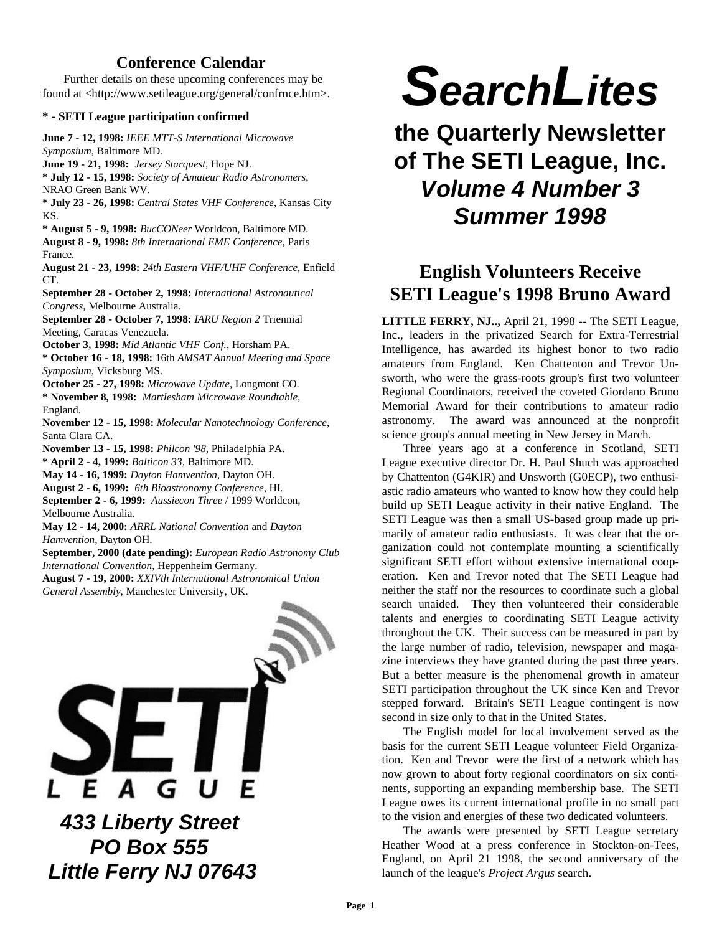# **Conference Calendar**

Further details on these upcoming conferences may be found at <http://www.setileague.org/general/confrnce.htm>.

### **\* - SETI League participation confirmed**

**June 7 - 12, 1998:** *IEEE MTT-S International Microwave Symposium*, Baltimore MD.

**June 19 - 21, 1998:** *Jersey Starquest,* Hope NJ. **\* July 12 - 15, 1998:** *Society of Amateur Radio Astronomers*, NRAO Green Bank WV.

**\* July 23 - 26, 1998:** *Central States VHF Conference*, Kansas City KS.

**\* August 5 - 9, 1998:** *BucCONeer* Worldcon, Baltimore MD. **August 8 - 9, 1998:** *8th International EME Conference*, Paris France.

**August 21 - 23, 1998:** *24th Eastern VHF/UHF Conference*, Enfield CT.

**September 28 - October 2, 1998:** *International Astronautical Congress,* Melbourne Australia.

**September 28 - October 7, 1998:** *IARU Region 2* Triennial Meeting, Caracas Venezuela.

**October 3, 1998:** *Mid Atlantic VHF Conf.*, Horsham PA.

**\* October 16 - 18, 1998:** 16th *AMSAT Annual Meeting and Space Symposium*, Vicksburg MS.

**October 25 - 27, 1998:** *Microwave Update*, Longmont CO. **\* November 8, 1998:** *Martlesham Microwave Roundtable*, England.

**November 12 - 15, 1998:** *Molecular Nanotechnology Conference*, Santa Clara CA.

**November 13 - 15, 1998:** *Philcon '98*, Philadelphia PA.

**\* April 2 - 4, 1999:** *Balticon 33,* Baltimore MD.

**May 14 - 16, 1999:** *Dayton Hamvention*, Dayton OH.

**August 2 - 6, 1999:** *6th Bioastronomy Conference,* HI.

**September 2 - 6, 1999:** *Aussiecon Three* / 1999 Worldcon, Melbourne Australia.

**May 12 - 14, 2000:** *ARRL National Convention* and *Dayton Hamvention*, Dayton OH.

**September, 2000 (date pending):** *European Radio Astronomy Club International Convention,* Heppenheim Germany.

**August 7 - 19, 2000:** *XXIVth International Astronomical Union General Assembly*, Manchester University, UK.



# *SearchLites*

**the Quarterly Newsletter of The SETI League, Inc.** *Volume 4 Number 3 Summer 1998*

# **English Volunteers Receive SETI League's 1998 Bruno Award**

**LITTLE FERRY, NJ..,** April 21, 1998 -- The SETI League, Inc., leaders in the privatized Search for Extra-Terrestrial Intelligence, has awarded its highest honor to two radio amateurs from England. Ken Chattenton and Trevor Unsworth, who were the grass-roots group's first two volunteer Regional Coordinators, received the coveted Giordano Bruno Memorial Award for their contributions to amateur radio astronomy. The award was announced at the nonprofit science group's annual meeting in New Jersey in March.

Three years ago at a conference in Scotland, SETI League executive director Dr. H. Paul Shuch was approached by Chattenton (G4KIR) and Unsworth (G0ECP), two enthusiastic radio amateurs who wanted to know how they could help build up SETI League activity in their native England. The SETI League was then a small US-based group made up primarily of amateur radio enthusiasts. It was clear that the organization could not contemplate mounting a scientifically significant SETI effort without extensive international cooperation. Ken and Trevor noted that The SETI League had neither the staff nor the resources to coordinate such a global search unaided. They then volunteered their considerable talents and energies to coordinating SETI League activity throughout the UK. Their success can be measured in part by the large number of radio, television, newspaper and magazine interviews they have granted during the past three years. But a better measure is the phenomenal growth in amateur SETI participation throughout the UK since Ken and Trevor stepped forward. Britain's SETI League contingent is now second in size only to that in the United States.

The English model for local involvement served as the basis for the current SETI League volunteer Field Organization. Ken and Trevor were the first of a network which has now grown to about forty regional coordinators on six continents, supporting an expanding membership base. The SETI League owes its current international profile in no small part to the vision and energies of these two dedicated volunteers.

The awards were presented by SETI League secretary Heather Wood at a press conference in Stockton-on-Tees, England, on April 21 1998, the second anniversary of the launch of the league's *Project Argus* search.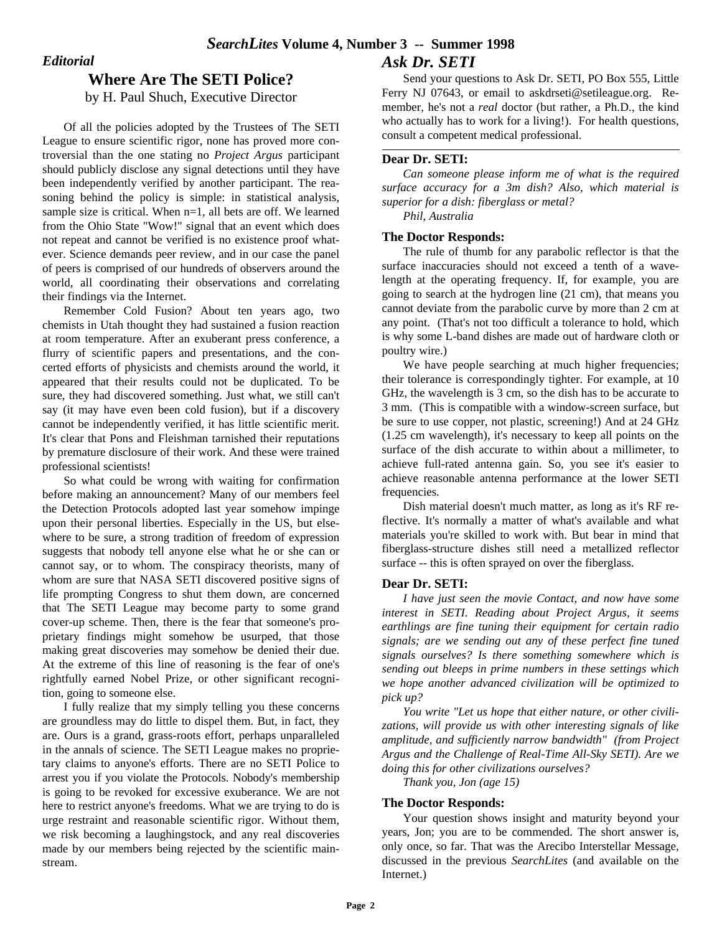## *Editorial*

# **Where Are The SETI Police?**

by H. Paul Shuch, Executive Director

Of all the policies adopted by the Trustees of The SETI League to ensure scientific rigor, none has proved more controversial than the one stating no *Project Argus* participant should publicly disclose any signal detections until they have been independently verified by another participant. The reasoning behind the policy is simple: in statistical analysis, sample size is critical. When n=1, all bets are off. We learned from the Ohio State "Wow!" signal that an event which does not repeat and cannot be verified is no existence proof whatever. Science demands peer review, and in our case the panel of peers is comprised of our hundreds of observers around the world, all coordinating their observations and correlating their findings via the Internet.

Remember Cold Fusion? About ten years ago, two chemists in Utah thought they had sustained a fusion reaction at room temperature. After an exuberant press conference, a flurry of scientific papers and presentations, and the concerted efforts of physicists and chemists around the world, it appeared that their results could not be duplicated. To be sure, they had discovered something. Just what, we still can't say (it may have even been cold fusion), but if a discovery cannot be independently verified, it has little scientific merit. It's clear that Pons and Fleishman tarnished their reputations by premature disclosure of their work. And these were trained professional scientists!

So what could be wrong with waiting for confirmation before making an announcement? Many of our members feel the Detection Protocols adopted last year somehow impinge upon their personal liberties. Especially in the US, but elsewhere to be sure, a strong tradition of freedom of expression suggests that nobody tell anyone else what he or she can or cannot say, or to whom. The conspiracy theorists, many of whom are sure that NASA SETI discovered positive signs of life prompting Congress to shut them down, are concerned that The SETI League may become party to some grand cover-up scheme. Then, there is the fear that someone's proprietary findings might somehow be usurped, that those making great discoveries may somehow be denied their due. At the extreme of this line of reasoning is the fear of one's rightfully earned Nobel Prize, or other significant recognition, going to someone else.

I fully realize that my simply telling you these concerns are groundless may do little to dispel them. But, in fact, they are. Ours is a grand, grass-roots effort, perhaps unparalleled in the annals of science. The SETI League makes no proprietary claims to anyone's efforts. There are no SETI Police to arrest you if you violate the Protocols. Nobody's membership is going to be revoked for excessive exuberance. We are not here to restrict anyone's freedoms. What we are trying to do is urge restraint and reasonable scientific rigor. Without them, we risk becoming a laughingstock, and any real discoveries made by our members being rejected by the scientific mainstream.

Send your questions to Ask Dr. SETI, PO Box 555, Little Ferry NJ 07643, or email to askdrseti@setileague.org. Remember, he's not a *real* doctor (but rather, a Ph.D., the kind who actually has to work for a living!). For health questions, consult a competent medical professional.

## **Dear Dr. SETI:**

*Can someone please inform me of what is the required surface accuracy for a 3m dish? Also, which material is superior for a dish: fiberglass or metal?*

*Phil, Australia*

## **The Doctor Responds:**

The rule of thumb for any parabolic reflector is that the surface inaccuracies should not exceed a tenth of a wavelength at the operating frequency. If, for example, you are going to search at the hydrogen line (21 cm), that means you cannot deviate from the parabolic curve by more than 2 cm at any point. (That's not too difficult a tolerance to hold, which is why some L-band dishes are made out of hardware cloth or poultry wire.)

We have people searching at much higher frequencies; their tolerance is correspondingly tighter. For example, at 10 GHz, the wavelength is 3 cm, so the dish has to be accurate to 3 mm. (This is compatible with a window-screen surface, but be sure to use copper, not plastic, screening!) And at 24 GHz (1.25 cm wavelength), it's necessary to keep all points on the surface of the dish accurate to within about a millimeter, to achieve full-rated antenna gain. So, you see it's easier to achieve reasonable antenna performance at the lower SETI frequencies.

Dish material doesn't much matter, as long as it's RF reflective. It's normally a matter of what's available and what materials you're skilled to work with. But bear in mind that fiberglass-structure dishes still need a metallized reflector surface -- this is often sprayed on over the fiberglass.

## **Dear Dr. SETI:**

*I have just seen the movie Contact, and now have some interest in SETI. Reading about Project Argus, it seems earthlings are fine tuning their equipment for certain radio signals; are we sending out any of these perfect fine tuned signals ourselves? Is there something somewhere which is sending out bleeps in prime numbers in these settings which we hope another advanced civilization will be optimized to pick up?*

*You write "Let us hope that either nature, or other civilizations, will provide us with other interesting signals of like amplitude, and sufficiently narrow bandwidth" (from Project Argus and the Challenge of Real-Time All-Sky SETI). Are we doing this for other civilizations ourselves?*

*Thank you, Jon (age 15)*

## **The Doctor Responds:**

Your question shows insight and maturity beyond your years, Jon; you are to be commended. The short answer is, only once, so far. That was the Arecibo Interstellar Message, discussed in the previous *SearchLites* (and available on the Internet.)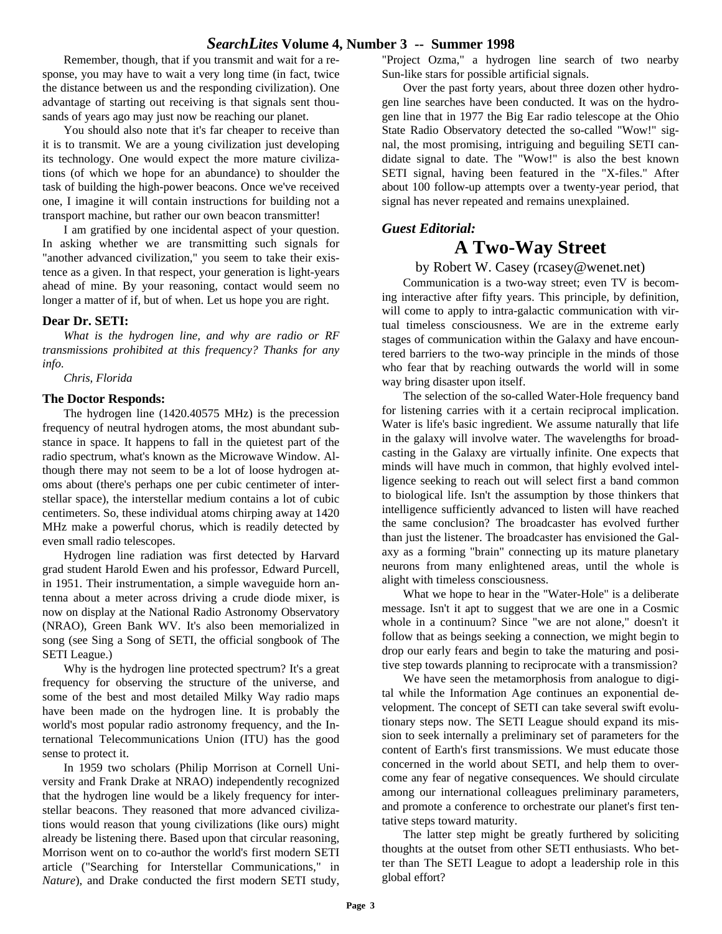## *SearchLites* **Volume 4, Number 3 -- Summer 1998**

Remember, though, that if you transmit and wait for a response, you may have to wait a very long time (in fact, twice the distance between us and the responding civilization). One advantage of starting out receiving is that signals sent thousands of years ago may just now be reaching our planet.

You should also note that it's far cheaper to receive than it is to transmit. We are a young civilization just developing its technology. One would expect the more mature civilizations (of which we hope for an abundance) to shoulder the task of building the high-power beacons. Once we've received one, I imagine it will contain instructions for building not a transport machine, but rather our own beacon transmitter!

I am gratified by one incidental aspect of your question. In asking whether we are transmitting such signals for "another advanced civilization," you seem to take their existence as a given. In that respect, your generation is light-years ahead of mine. By your reasoning, contact would seem no longer a matter of if, but of when. Let us hope you are right.

#### **Dear Dr. SETI:**

*What is the hydrogen line, and why are radio or RF transmissions prohibited at this frequency? Thanks for any info.*

*Chris, Florida*

#### **The Doctor Responds:**

The hydrogen line (1420.40575 MHz) is the precession frequency of neutral hydrogen atoms, the most abundant substance in space. It happens to fall in the quietest part of the radio spectrum, what's known as the Microwave Window. Although there may not seem to be a lot of loose hydrogen atoms about (there's perhaps one per cubic centimeter of interstellar space), the interstellar medium contains a lot of cubic centimeters. So, these individual atoms chirping away at 1420 MHz make a powerful chorus, which is readily detected by even small radio telescopes.

Hydrogen line radiation was first detected by Harvard grad student Harold Ewen and his professor, Edward Purcell, in 1951. Their instrumentation, a simple waveguide horn antenna about a meter across driving a crude diode mixer, is now on display at the National Radio Astronomy Observatory (NRAO), Green Bank WV. It's also been memorialized in song (see Sing a Song of SETI, the official songbook of The SETI League.)

Why is the hydrogen line protected spectrum? It's a great frequency for observing the structure of the universe, and some of the best and most detailed Milky Way radio maps have been made on the hydrogen line. It is probably the world's most popular radio astronomy frequency, and the International Telecommunications Union (ITU) has the good sense to protect it.

In 1959 two scholars (Philip Morrison at Cornell University and Frank Drake at NRAO) independently recognized that the hydrogen line would be a likely frequency for interstellar beacons. They reasoned that more advanced civilizations would reason that young civilizations (like ours) might already be listening there. Based upon that circular reasoning, Morrison went on to co-author the world's first modern SETI article ("Searching for Interstellar Communications," in *Nature*), and Drake conducted the first modern SETI study,

"Project Ozma," a hydrogen line search of two nearby Sun-like stars for possible artificial signals.

Over the past forty years, about three dozen other hydrogen line searches have been conducted. It was on the hydrogen line that in 1977 the Big Ear radio telescope at the Ohio State Radio Observatory detected the so-called "Wow!" signal, the most promising, intriguing and beguiling SETI candidate signal to date. The "Wow!" is also the best known SETI signal, having been featured in the "X-files." After about 100 follow-up attempts over a twenty-year period, that signal has never repeated and remains unexplained.

## *Guest Editorial:*

# **A Two-Way Street**

## by Robert W. Casey (rcasey@wenet.net)

Communication is a two-way street; even TV is becoming interactive after fifty years. This principle, by definition, will come to apply to intra-galactic communication with virtual timeless consciousness. We are in the extreme early stages of communication within the Galaxy and have encountered barriers to the two-way principle in the minds of those who fear that by reaching outwards the world will in some way bring disaster upon itself.

The selection of the so-called Water-Hole frequency band for listening carries with it a certain reciprocal implication. Water is life's basic ingredient. We assume naturally that life in the galaxy will involve water. The wavelengths for broadcasting in the Galaxy are virtually infinite. One expects that minds will have much in common, that highly evolved intelligence seeking to reach out will select first a band common to biological life. Isn't the assumption by those thinkers that intelligence sufficiently advanced to listen will have reached the same conclusion? The broadcaster has evolved further than just the listener. The broadcaster has envisioned the Galaxy as a forming "brain" connecting up its mature planetary neurons from many enlightened areas, until the whole is alight with timeless consciousness.

What we hope to hear in the "Water-Hole" is a deliberate message. Isn't it apt to suggest that we are one in a Cosmic whole in a continuum? Since "we are not alone," doesn't it follow that as beings seeking a connection, we might begin to drop our early fears and begin to take the maturing and positive step towards planning to reciprocate with a transmission?

We have seen the metamorphosis from analogue to digital while the Information Age continues an exponential development. The concept of SETI can take several swift evolutionary steps now. The SETI League should expand its mission to seek internally a preliminary set of parameters for the content of Earth's first transmissions. We must educate those concerned in the world about SETI, and help them to overcome any fear of negative consequences. We should circulate among our international colleagues preliminary parameters, and promote a conference to orchestrate our planet's first tentative steps toward maturity.

The latter step might be greatly furthered by soliciting thoughts at the outset from other SETI enthusiasts. Who better than The SETI League to adopt a leadership role in this global effort?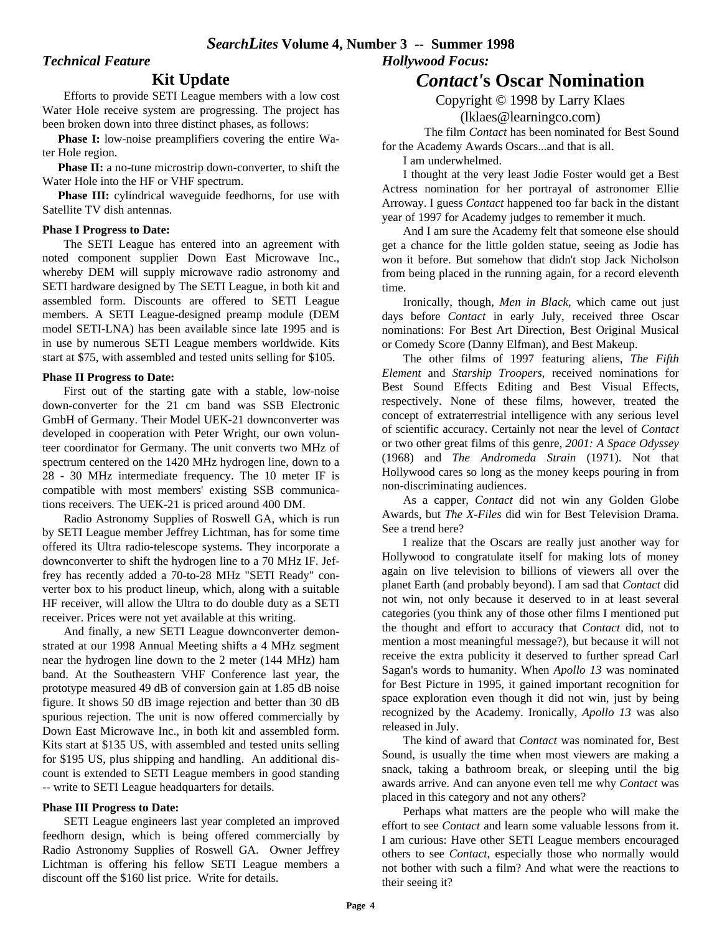## *Technical Feature*

## **Kit Update**

Efforts to provide SETI League members with a low cost Water Hole receive system are progressing. The project has been broken down into three distinct phases, as follows:

 **Phase I:** low-noise preamplifiers covering the entire Water Hole region.

 **Phase II:** a no-tune microstrip down-converter, to shift the Water Hole into the HF or VHF spectrum.

**Phase III:** cylindrical waveguide feedhorns, for use with Satellite TV dish antennas.

#### **Phase I Progress to Date:**

The SETI League has entered into an agreement with noted component supplier Down East Microwave Inc., whereby DEM will supply microwave radio astronomy and SETI hardware designed by The SETI League, in both kit and assembled form. Discounts are offered to SETI League members. A SETI League-designed preamp module (DEM model SETI-LNA) has been available since late 1995 and is in use by numerous SETI League members worldwide. Kits start at \$75, with assembled and tested units selling for \$105.

#### **Phase II Progress to Date:**

First out of the starting gate with a stable, low-noise down-converter for the 21 cm band was SSB Electronic GmbH of Germany. Their Model UEK-21 downconverter was developed in cooperation with Peter Wright, our own volunteer coordinator for Germany. The unit converts two MHz of spectrum centered on the 1420 MHz hydrogen line, down to a 28 - 30 MHz intermediate frequency. The 10 meter IF is compatible with most members' existing SSB communications receivers. The UEK-21 is priced around 400 DM.

Radio Astronomy Supplies of Roswell GA, which is run by SETI League member Jeffrey Lichtman, has for some time offered its Ultra radio-telescope systems. They incorporate a downconverter to shift the hydrogen line to a 70 MHz IF. Jeffrey has recently added a 70-to-28 MHz "SETI Ready" converter box to his product lineup, which, along with a suitable HF receiver, will allow the Ultra to do double duty as a SETI receiver. Prices were not yet available at this writing.

And finally, a new SETI League downconverter demonstrated at our 1998 Annual Meeting shifts a 4 MHz segment near the hydrogen line down to the 2 meter (144 MHz) ham band. At the Southeastern VHF Conference last year, the prototype measured 49 dB of conversion gain at 1.85 dB noise figure. It shows 50 dB image rejection and better than 30 dB spurious rejection. The unit is now offered commercially by Down East Microwave Inc., in both kit and assembled form. Kits start at \$135 US, with assembled and tested units selling for \$195 US, plus shipping and handling. An additional discount is extended to SETI League members in good standing -- write to SETI League headquarters for details.

## **Phase III Progress to Date:**

SETI League engineers last year completed an improved feedhorn design, which is being offered commercially by Radio Astronomy Supplies of Roswell GA. Owner Jeffrey Lichtman is offering his fellow SETI League members a discount off the \$160 list price. Write for details.

# *Contact'***s Oscar Nomination**

Copyright © 1998 by Larry Klaes (lklaes@learningco.com)

The film *Contact* has been nominated for Best Sound for the Academy Awards Oscars...and that is all.

I am underwhelmed.

*Hollywood Focus:*

I thought at the very least Jodie Foster would get a Best Actress nomination for her portrayal of astronomer Ellie Arroway. I guess *Contact* happened too far back in the distant year of 1997 for Academy judges to remember it much.

And I am sure the Academy felt that someone else should get a chance for the little golden statue, seeing as Jodie has won it before. But somehow that didn't stop Jack Nicholson from being placed in the running again, for a record eleventh time.

Ironically, though, *Men in Black*, which came out just days before *Contact* in early July, received three Oscar nominations: For Best Art Direction, Best Original Musical or Comedy Score (Danny Elfman), and Best Makeup.

The other films of 1997 featuring aliens, *The Fifth Element* and *Starship Troopers*, received nominations for Best Sound Effects Editing and Best Visual Effects, respectively. None of these films, however, treated the concept of extraterrestrial intelligence with any serious level of scientific accuracy. Certainly not near the level of *Contact* or two other great films of this genre, *2001: A Space Odyssey* (1968) and *The Andromeda Strain* (1971). Not that Hollywood cares so long as the money keeps pouring in from non-discriminating audiences.

As a capper, *Contact* did not win any Golden Globe Awards, but *The X-Files* did win for Best Television Drama. See a trend here?

I realize that the Oscars are really just another way for Hollywood to congratulate itself for making lots of money again on live television to billions of viewers all over the planet Earth (and probably beyond). I am sad that *Contact* did not win, not only because it deserved to in at least several categories (you think any of those other films I mentioned put the thought and effort to accuracy that *Contact* did, not to mention a most meaningful message?), but because it will not receive the extra publicity it deserved to further spread Carl Sagan's words to humanity. When *Apollo 13* was nominated for Best Picture in 1995, it gained important recognition for space exploration even though it did not win, just by being recognized by the Academy. Ironically, *Apollo 13* was also released in July.

The kind of award that *Contact* was nominated for, Best Sound, is usually the time when most viewers are making a snack, taking a bathroom break, or sleeping until the big awards arrive. And can anyone even tell me why *Contact* was placed in this category and not any others?

Perhaps what matters are the people who will make the effort to see *Contact* and learn some valuable lessons from it. I am curious: Have other SETI League members encouraged others to see *Contact*, especially those who normally would not bother with such a film? And what were the reactions to their seeing it?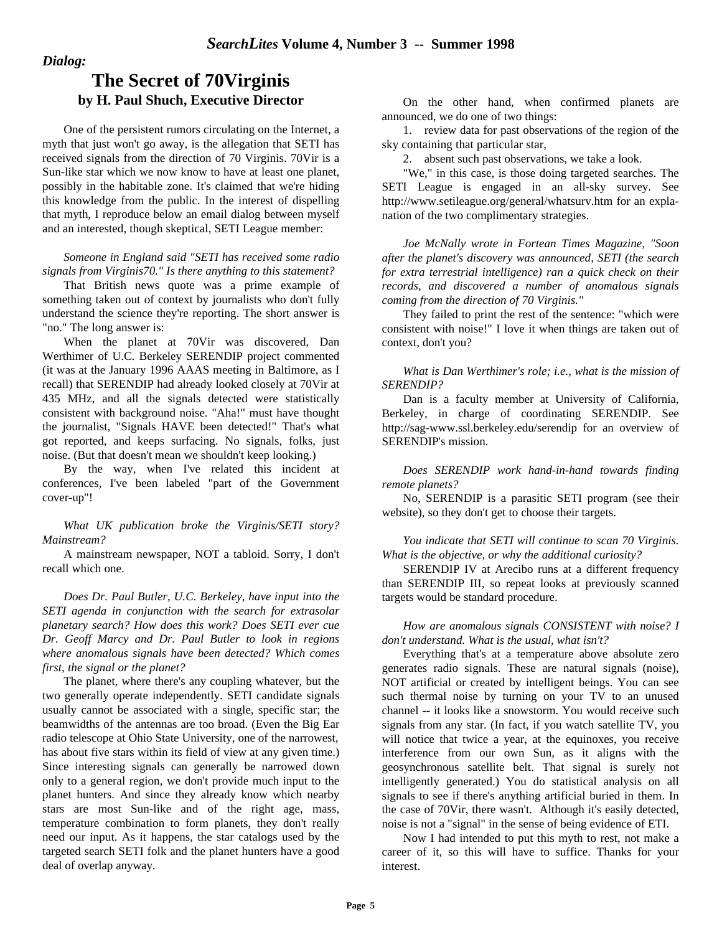## *Dialog:*

# **The Secret of 70Virginis by H. Paul Shuch, Executive Director**

One of the persistent rumors circulating on the Internet, a myth that just won't go away, is the allegation that SETI has received signals from the direction of 70 Virginis. 70Vir is a Sun-like star which we now know to have at least one planet, possibly in the habitable zone. It's claimed that we're hiding this knowledge from the public. In the interest of dispelling that myth, I reproduce below an email dialog between myself and an interested, though skeptical, SETI League member:

*Someone in England said "SETI has received some radio signals from Virginis70." Is there anything to this statement?*

That British news quote was a prime example of something taken out of context by journalists who don't fully understand the science they're reporting. The short answer is "no." The long answer is:

When the planet at 70Vir was discovered, Dan Werthimer of U.C. Berkeley SERENDIP project commented (it was at the January 1996 AAAS meeting in Baltimore, as I recall) that SERENDIP had already looked closely at 70Vir at 435 MHz, and all the signals detected were statistically consistent with background noise. "Aha!" must have thought the journalist, "Signals HAVE been detected!" That's what got reported, and keeps surfacing. No signals, folks, just noise. (But that doesn't mean we shouldn't keep looking.)

By the way, when I've related this incident at conferences, I've been labeled "part of the Government cover-up"!

*What UK publication broke the Virginis/SETI story? Mainstream?*

A mainstream newspaper, NOT a tabloid. Sorry, I don't recall which one.

*Does Dr. Paul Butler, U.C. Berkeley, have input into the SETI agenda in conjunction with the search for extrasolar planetary search? How does this work? Does SETI ever cue Dr. Geoff Marcy and Dr. Paul Butler to look in regions where anomalous signals have been detected? Which comes first, the signal or the planet?*

The planet, where there's any coupling whatever, but the two generally operate independently. SETI candidate signals usually cannot be associated with a single, specific star; the beamwidths of the antennas are too broad. (Even the Big Ear radio telescope at Ohio State University, one of the narrowest, has about five stars within its field of view at any given time.) Since interesting signals can generally be narrowed down only to a general region, we don't provide much input to the planet hunters. And since they already know which nearby stars are most Sun-like and of the right age, mass, temperature combination to form planets, they don't really need our input. As it happens, the star catalogs used by the targeted search SETI folk and the planet hunters have a good deal of overlap anyway.

On the other hand, when confirmed planets are announced, we do one of two things:

1. review data for past observations of the region of the sky containing that particular star,

2. absent such past observations, we take a look.

"We," in this case, is those doing targeted searches. The SETI League is engaged in an all-sky survey. See http://www.setileague.org/general/whatsurv.htm for an explanation of the two complimentary strategies.

*Joe McNally wrote in Fortean Times Magazine, "Soon after the planet's discovery was announced, SETI (the search for extra terrestrial intelligence) ran a quick check on their records, and discovered a number of anomalous signals coming from the direction of 70 Virginis."*

They failed to print the rest of the sentence: "which were consistent with noise!" I love it when things are taken out of context, don't you?

*What is Dan Werthimer's role; i.e., what is the mission of SERENDIP?*

Dan is a faculty member at University of California, Berkeley, in charge of coordinating SERENDIP. See http://sag-www.ssl.berkeley.edu/serendip for an overview of SERENDIP's mission.

*Does SERENDIP work hand-in-hand towards finding remote planets?*

No, SERENDIP is a parasitic SETI program (see their website), so they don't get to choose their targets.

*You indicate that SETI will continue to scan 70 Virginis. What is the objective, or why the additional curiosity?*

SERENDIP IV at Arecibo runs at a different frequency than SERENDIP III, so repeat looks at previously scanned targets would be standard procedure.

*How are anomalous signals CONSISTENT with noise? I don't understand. What is the usual, what isn't?*

Everything that's at a temperature above absolute zero generates radio signals. These are natural signals (noise), NOT artificial or created by intelligent beings. You can see such thermal noise by turning on your TV to an unused channel -- it looks like a snowstorm. You would receive such signals from any star. (In fact, if you watch satellite TV, you will notice that twice a year, at the equinoxes, you receive interference from our own Sun, as it aligns with the geosynchronous satellite belt. That signal is surely not intelligently generated.) You do statistical analysis on all signals to see if there's anything artificial buried in them. In the case of 70Vir, there wasn't. Although it's easily detected, noise is not a "signal" in the sense of being evidence of ETI.

Now I had intended to put this myth to rest, not make a career of it, so this will have to suffice. Thanks for your interest.